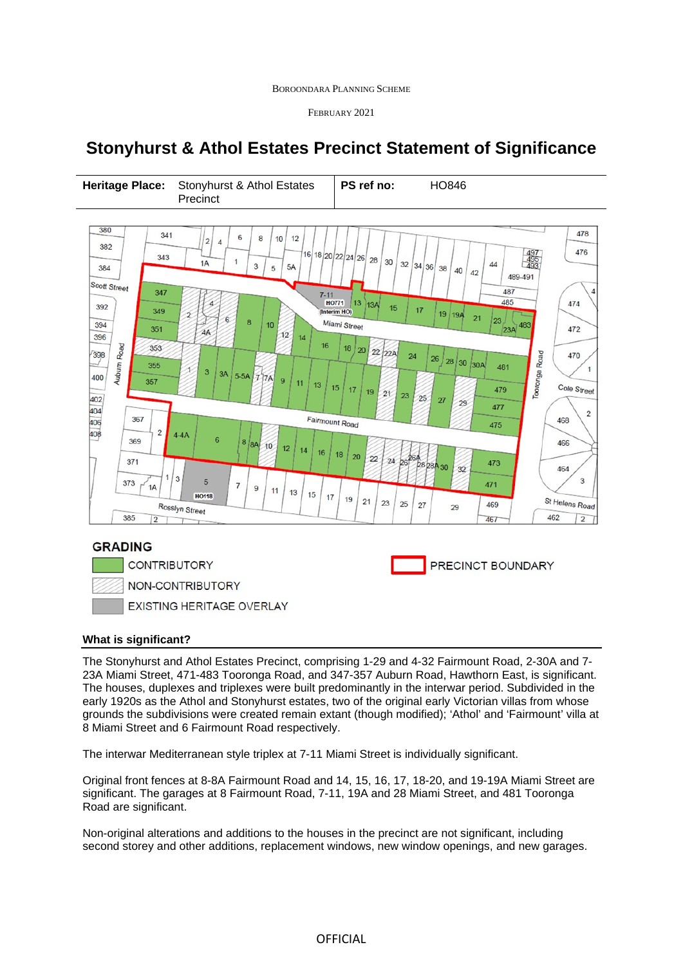

FEBRUARY 2021

# **Stonyhurst & Athol Estates Precinct Statement of Significance**



## **What is significant?**

The Stonyhurst and Athol Estates Precinct, comprising 1-29 and 4-32 Fairmount Road, 2-30A and 7- 23A Miami Street, 471-483 Tooronga Road, and 347-357 Auburn Road, Hawthorn East, is significant. The houses, duplexes and triplexes were built predominantly in the interwar period. Subdivided in the early 1920s as the Athol and Stonyhurst estates, two of the original early Victorian villas from whose grounds the subdivisions were created remain extant (though modified); 'Athol' and 'Fairmount' villa at 8 Miami Street and 6 Fairmount Road respectively.

The interwar Mediterranean style triplex at 7-11 Miami Street is individually significant.

Original front fences at 8-8A Fairmount Road and 14, 15, 16, 17, 18-20, and 19-19A Miami Street are significant. The garages at 8 Fairmount Road, 7-11, 19A and 28 Miami Street, and 481 Tooronga Road are significant.

Non-original alterations and additions to the houses in the precinct are not significant, including second storey and other additions, replacement windows, new window openings, and new garages.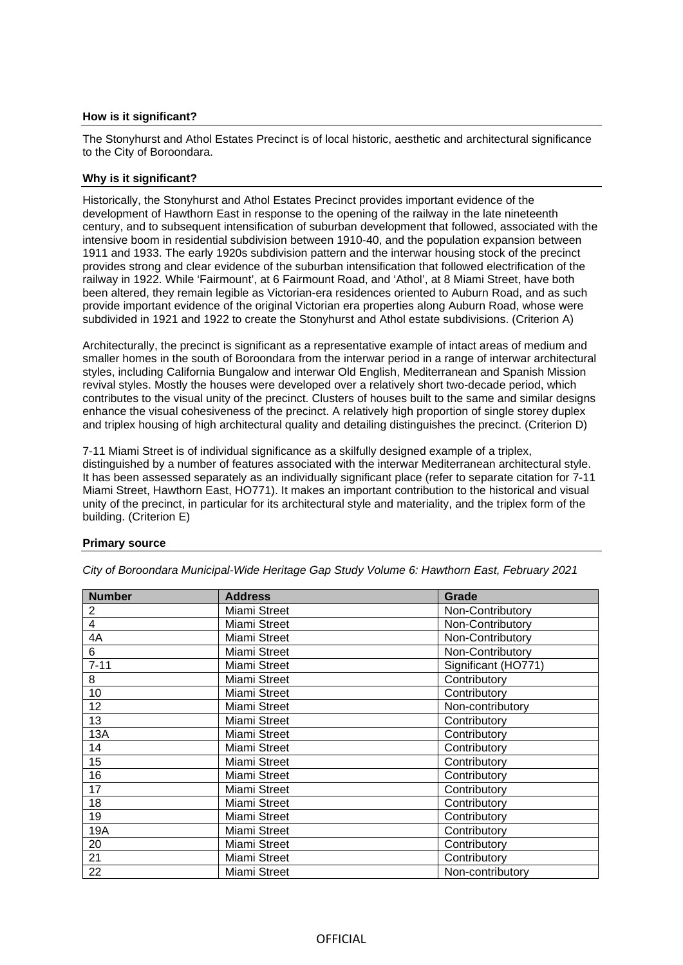#### **How is it significant?**

The Stonyhurst and Athol Estates Precinct is of local historic, aesthetic and architectural significance to the City of Boroondara.

### **Why is it significant?**

Historically, the Stonyhurst and Athol Estates Precinct provides important evidence of the development of Hawthorn East in response to the opening of the railway in the late nineteenth century, and to subsequent intensification of suburban development that followed, associated with the intensive boom in residential subdivision between 1910-40, and the population expansion between 1911 and 1933. The early 1920s subdivision pattern and the interwar housing stock of the precinct provides strong and clear evidence of the suburban intensification that followed electrification of the railway in 1922. While 'Fairmount', at 6 Fairmount Road, and 'Athol', at 8 Miami Street, have both been altered, they remain legible as Victorian-era residences oriented to Auburn Road, and as such provide important evidence of the original Victorian era properties along Auburn Road, whose were subdivided in 1921 and 1922 to create the Stonyhurst and Athol estate subdivisions. (Criterion A)

Architecturally, the precinct is significant as a representative example of intact areas of medium and smaller homes in the south of Boroondara from the interwar period in a range of interwar architectural styles, including California Bungalow and interwar Old English, Mediterranean and Spanish Mission revival styles. Mostly the houses were developed over a relatively short two-decade period, which contributes to the visual unity of the precinct. Clusters of houses built to the same and similar designs enhance the visual cohesiveness of the precinct. A relatively high proportion of single storey duplex and triplex housing of high architectural quality and detailing distinguishes the precinct. (Criterion D)

7-11 Miami Street is of individual significance as a skilfully designed example of a triplex, distinguished by a number of features associated with the interwar Mediterranean architectural style. It has been assessed separately as an individually significant place (refer to separate citation for 7-11 Miami Street, Hawthorn East, HO771). It makes an important contribution to the historical and visual unity of the precinct, in particular for its architectural style and materiality, and the triplex form of the building. (Criterion E)

#### **Primary source**

| <b>Number</b>   | <b>Address</b> | Grade               |
|-----------------|----------------|---------------------|
| 2               | Miami Street   | Non-Contributory    |
| 4               | Miami Street   | Non-Contributory    |
| 4A              | Miami Street   | Non-Contributory    |
| 6               | Miami Street   | Non-Contributory    |
| $7 - 11$        | Miami Street   | Significant (HO771) |
| 8               | Miami Street   | Contributory        |
| 10              | Miami Street   | Contributory        |
| 12 <sup>2</sup> | Miami Street   | Non-contributory    |
| 13              | Miami Street   | Contributory        |
| 13A             | Miami Street   | Contributory        |
| 14              | Miami Street   | Contributory        |
| 15              | Miami Street   | Contributory        |
| 16              | Miami Street   | Contributory        |
| 17              | Miami Street   | Contributory        |
| 18              | Miami Street   | Contributory        |
| 19              | Miami Street   | Contributory        |
| 19A             | Miami Street   | Contributory        |
| 20              | Miami Street   | Contributory        |
| 21              | Miami Street   | Contributory        |
| 22              | Miami Street   | Non-contributory    |

*City of Boroondara Municipal-Wide Heritage Gap Study Volume 6: Hawthorn East, February 2021*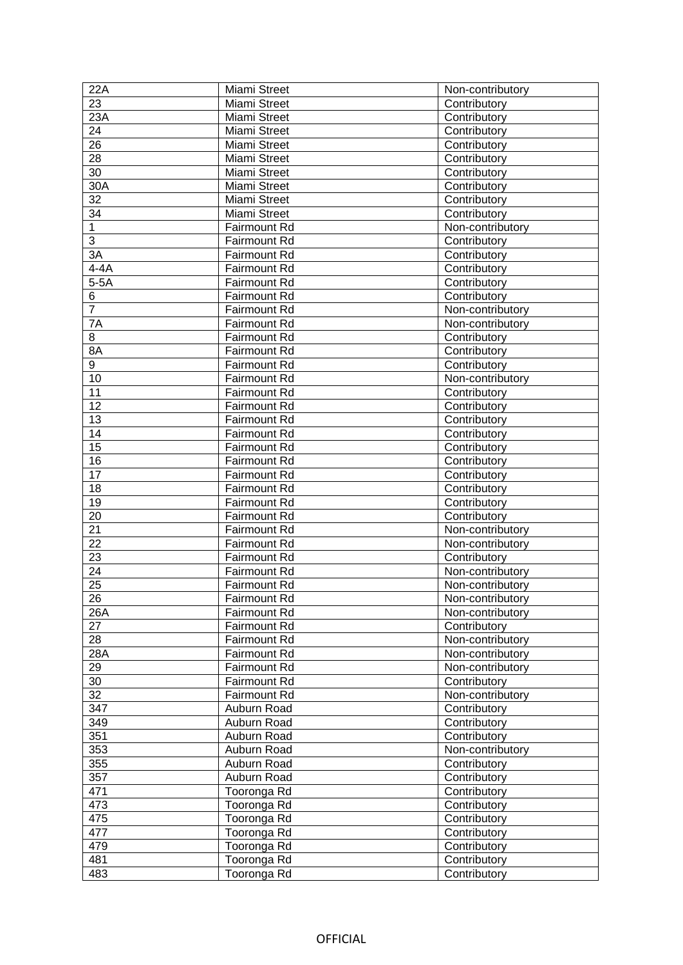| 22A                   | Miami Street                | Non-contributory                 |
|-----------------------|-----------------------------|----------------------------------|
| 23                    | Miami Street                | Contributory                     |
| 23A                   | Miami Street                | Contributory                     |
| 24                    | Miami Street                | Contributory                     |
| $\overline{26}$       | Miami Street                | Contributory                     |
| $\overline{28}$       | Miami Street                | Contributory                     |
| $\overline{30}$       | Miami Street                | Contributory                     |
| 30A                   | Miami Street                | Contributory                     |
| 32                    | Miami Street                | Contributory                     |
| 34                    | Miami Street                | Contributory                     |
| $\overline{1}$        | Fairmount Rd                | Non-contributory                 |
| $\overline{3}$        | Fairmount Rd                | Contributory                     |
| $\overline{3A}$       | Fairmount Rd                | Contributory                     |
| $4 - 4A$              | Fairmount Rd                | Contributory                     |
| $5-5A$                | Fairmount Rd                | Contributory                     |
| 6                     | Fairmount Rd                | Contributory                     |
| $\overline{7}$        | Fairmount Rd                | Non-contributory                 |
| 7A                    | Fairmount Rd                | Non-contributory                 |
| 8                     | Fairmount Rd                | Contributory                     |
| 8A                    | Fairmount Rd                | Contributory                     |
| 9                     | Fairmount Rd                | Contributory                     |
| 10                    | Fairmount Rd                | Non-contributory                 |
| 11                    | Fairmount Rd                | Contributory                     |
| 12                    | Fairmount Rd                | Contributory                     |
| 13                    | Fairmount Rd                | Contributory                     |
| 14                    | Fairmount Rd                | Contributory                     |
| 15                    | Fairmount Rd                | Contributory                     |
| 16                    | Fairmount Rd                | Contributory                     |
| 17                    | Fairmount Rd                | Contributory                     |
| 18                    | Fairmount Rd                | Contributory                     |
| 19                    | Fairmount Rd                | Contributory                     |
| 20                    | Fairmount Rd                | Contributory                     |
| 21                    | Fairmount Rd                | Non-contributory                 |
| 22                    | Fairmount Rd                | Non-contributory                 |
| 23                    | Fairmount Rd                | Contributory                     |
| 24                    | Fairmount Rd                | Non-contributory                 |
| 25                    | Fairmount Rd                | Non-contributory                 |
| 26                    | Fairmount Rd                | Non-contributory                 |
| 26A                   | Fairmount Rd                | Non-contributory                 |
| 27                    | Fairmount Rd                | Contributory                     |
| 28                    | Fairmount Rd                | Non-contributory                 |
| 28A                   | Fairmount Rd                | Non-contributory                 |
| 29                    | Fairmount Rd                | Non-contributory                 |
| 30<br>$\overline{32}$ | Fairmount Rd                | Contributory                     |
|                       | Fairmount Rd<br>Auburn Road | Non-contributory                 |
| 347                   |                             | Contributory                     |
| 349<br>351            | Auburn Road                 | Contributory                     |
| 353                   | Auburn Road                 | Contributory<br>Non-contributory |
|                       | Auburn Road                 |                                  |
| 355<br>357            | Auburn Road<br>Auburn Road  | Contributory<br>Contributory     |
| 471                   | Tooronga Rd                 | Contributory                     |
| 473                   | Tooronga Rd                 | Contributory                     |
| 475                   | Tooronga Rd                 | Contributory                     |
| 477                   | Tooronga Rd                 | Contributory                     |
| 479                   | Tooronga Rd                 | Contributory                     |
| 481                   | Tooronga Rd                 | Contributory                     |
| 483                   | Tooronga Rd                 | Contributory                     |
|                       |                             |                                  |